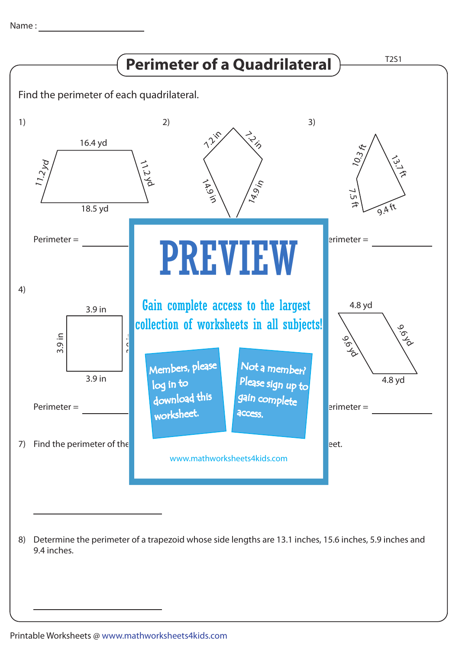

Determine the perimeter of a trapezoid whose side lengths are 13.1 inches, 15.6 inches, 5.9 inches and 8) 9.4 inches.